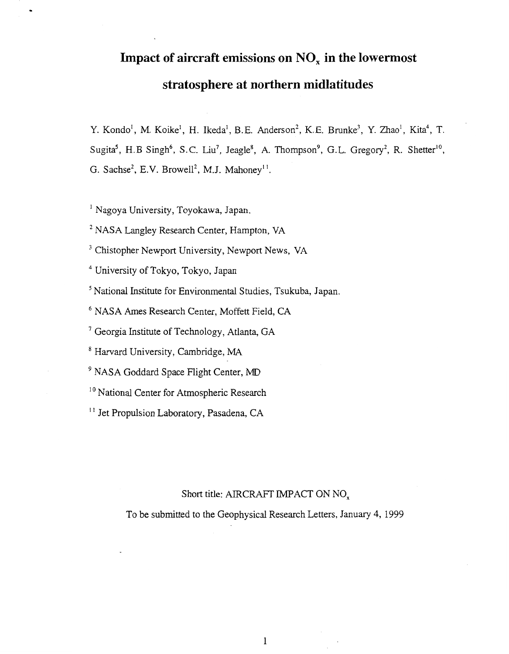# **Impact of aircraft emissions on NO, in the lowermost stratosphere at northern midlatitudes**

Y. Kondo<sup>1</sup>, M. Koike<sup>1</sup>, H. Ikeda<sup>1</sup>, B.E. Anderson<sup>2</sup>, K.E. Brunke<sup>3</sup>, Y. Zhao<sup>1</sup>, Kita<sup>4</sup>, T. Sugita<sup>5</sup>, H. B Singh<sup>6</sup>, S. C. Liu<sup>7</sup>, Jeagle<sup>8</sup>, A. Thompson<sup>9</sup>, G. L. Gregory<sup>2</sup>, R. Shetter<sup>10</sup>, G. Sachse<sup>2</sup>, E.V. Browell<sup>2</sup>, M.J. Mahoney<sup>11</sup>.

<sup>1</sup> Nagoya University, Toyokawa, Japan.

<span id="page-0-0"></span>.

<sup>2</sup> NASA Langley Research Center, Hampton, VA

<sup>3</sup> Chistopher Newport University, Newport News, VA

4 University of Tokyo, Tokyo, Japan

<sup>5</sup> National Institute for Environmental Studies, Tsukuba, Japan.

<sup>6</sup> NASA Ames Research Center, Moffett Field, CA

<sup>7</sup> Georgia Institute of Technology, Atlanta, GA

' Harvard University, Cambridge, MA

<sup>9</sup> NASA Goddard Space Flight Center, MD

<sup>10</sup> National Center for Atmospheric Research

<sup>11</sup> Jet Propulsion Laboratory, Pasadena, CA

# Short title: AIRCRAFT IMPACT ON NO,

To be submitted to the Geophysical Research Letters, January **4,** 1999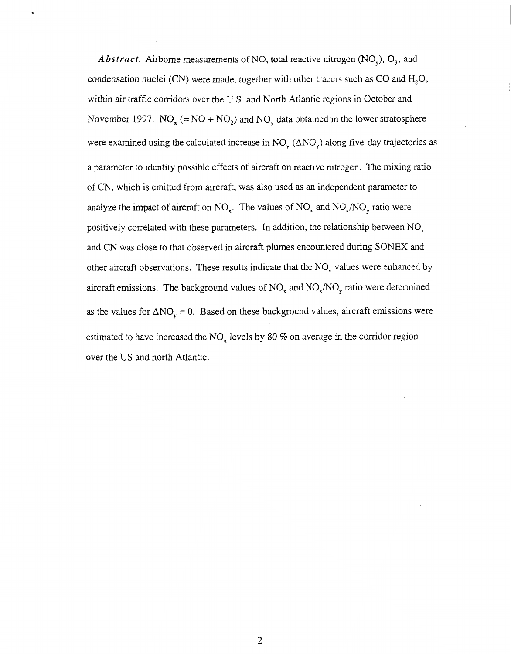*Abstract.* Airborne measurements of NO, total reactive nitrogen  $(NO<sub>y</sub>)$ ,  $O<sub>3</sub>$ , and condensation nuclei (CN) were made, together with other tracers such as CO and  $H_2O$ , within air traffic corridors over the U.S. and North Atlantic regions in October and November 1997. NO<sub>x</sub> (= NO + NO<sub>2</sub>) and NO<sub>y</sub> data obtained in the lower stratosphere were examined using the calculated increase in  $NO_y (\Delta NO_y)$  along five-day trajectories as a parameter to identify possible effects of aircraft on reactive nitrogen. The mixing ratio of CN, which is emitted from aircraft, was also used as an independent parameter to analyze the impact of aircraft on  $NO_x$ . The values of  $NO_x$  and  $NO_x/NO_y$  ratio were positively correlated with these parameters. In addition, the relationship between  $NO<sub>x</sub>$ and CN was close to that observed in aircraft plumes encountered during SONEX and other aircraft observations. These results indicate that the  $NO<sub>x</sub>$  values were enhanced by aircraft emissions. The background values of  $NO_x$  and  $NO_x/NO_y$  ratio were determined as the values for  $\Delta NO_y = 0$ . Based on these background values, aircraft emissions were estimated to have increased the  $NO<sub>x</sub>$  levels by 80 % on average in the corridor region over the US and north Atlantic.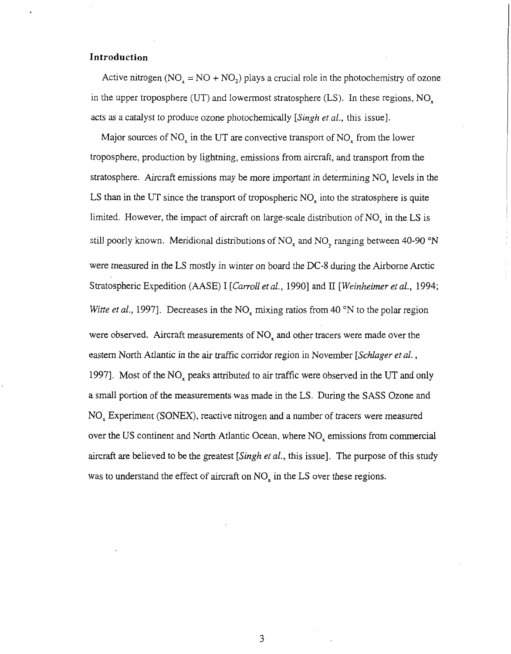## **Introduction**

Active nitrogen ( $NO_x = NO + NO_2$ ) plays a crucial role in the photochemistry of ozone in the upper troposphere (UT) and lowermost stratosphere (LS). In these regions,  $NO_x$ acts as a catalyst to produce ozone photochemically *[Singh et al.,* this issue].

Major sources of  $NO<sub>x</sub>$  in the UT are convective transport of  $NO<sub>x</sub>$  from the lower troposphere, production by lightning, emissions from aircraft, and transport from the stratosphere. Aircraft emissions may be more important in determining NO, levels in the LS than in the UT since the transport of tropospheric  $NO<sub>x</sub>$  into the stratosphere is quite limited. However, the impact of aircraft on large-scale distribution of  $NO<sub>x</sub>$  in the LS is still poorly known. Meridional distributions of  $NO<sub>x</sub>$  and  $NO<sub>y</sub>$  ranging between 40-90 °N were measured in the LS mostly in winter on board the DC-8 during the Airborne Arctic Stratospheric Expedition (AASE) I [*Carroll et al.*, 1990] and II *[Weinheimer et al.*, 1994; *Witte et al.*, 1997]. Decreases in the  $NO_x$  mixing ratios from 40 °N to the polar region were observed. Aircraft measurements of  $NO<sub>x</sub>$  and other tracers were made over the eastern North Atlantic in the *air* traffic corridor region in November *[Schlager et al.* , 1997]. Most of the  $NO<sub>x</sub>$  peaks attributed to air traffic were observed in the UT and only a small portion of the measurements was made in the LS. During the SASS Ozone and NO, Experiment (SONEX), reactive nitrogen and a number of tracers were measured over the US continent and North Atlantic Ocean, where NO, emissions from commercial aircraft are believed to be the greatest *[Singh et al.,* this issue]. The purpose of this study was to understand the effect of aircraft on NO<sub>x</sub> in the LS over these regions.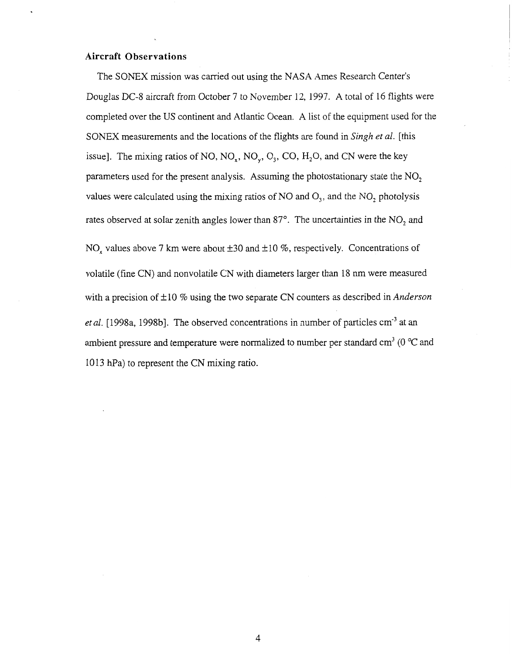### **Aircraft Observations**

The SONEX mission was carried out using the NASA Ames Research Center's Douglas DC-8 aircraft from October 7 to November 12, 1997. A total of 16 flights were completed over the US continent and Atlantic Ocean. **A** list of the equipment used for the SONEX measurements and the locations of the flights are found in *Singh et al.* [this issue]. The mixing ratios of NO,  $NO_x$ ,  $NO_y$ ,  $O_3$ ,  $CO$ ,  $H_2O$ , and CN were the key parameters used for the present analysis. Assuming the photostationary state the NO, values were calculated using the mixing ratios of NO and *0,,* and the NO, photolysis rates observed at solar zenith angles lower than  $87^\circ$ . The uncertainties in the NO<sub>2</sub> and  $NO<sub>x</sub>$  values above 7 km were about  $\pm 30$  and  $\pm 10$  %, respectively. Concentrations of volatile (fine CN) and nonvolatile CN with diameters larger than 18 nm were measured with a precision of  $\pm 10$  % using the two separate CN counters as described in *Anderson* et al. [1998a, 1998b]. The observed concentrations in number of particles cm<sup>-3</sup> at an ambient pressure and temperature were normalized to number per standard  $cm<sup>3</sup>$  (0  $^{\circ}$ C and 1013 hPa) to represent the CN mixing ratio.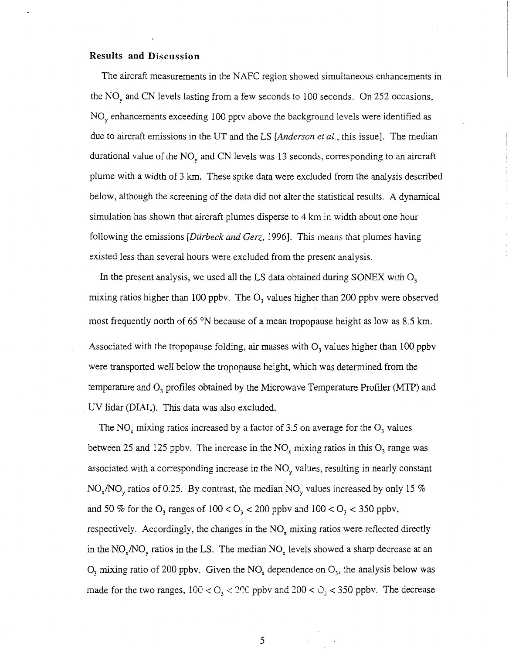#### **Results and Discussion**

The aircraft measurements in the NAFC region showed simultaneous enhancements in the NO, and CN levels lasting from a few seconds to 100 seconds. On 252 occasions, NO, enhancements exceeding 100 pptv above the background levels were identified as due to aircraft emissions in the UT and the LS *[Anderson et al.,* this issue]. The median durational value of the  $NO<sub>y</sub>$  and CN levels was 13 seconds, corresponding to an aircraft plume with a width of 3 km. These spike data were excluded from the analysis described below, although the screening of the data did not alter the statistical results. A dynamical simulation has shown that aircraft plumes disperse to **4** km in width about one hour following the emissions *[Dürbeck and Gerz*, 1996]. This means that plumes having existed less than several hours were excluded from the present analysis.

In the present analysis, we used all the LS data obtained during SONEX with  $O_3$ mixing ratios higher than 100 ppbv. The *0,* values higher than 200 ppbv were observed most frequently north of 65 °N because of a mean tropopause height as low as 8.5 km. Associated with the tropopause folding, air masses with  $O<sub>3</sub>$  values higher than 100 ppbv were transported well below the tropopause height, which was determined from the temperature and *0,* profiles obtained by the Microwave Temperature Profiler (MTP) and UV lidar (DIAL). This data was also excluded.

The NO, mixing ratios increased by a factor of 3.5 on average for the *0,* values between 25 and 125 ppbv. The increase in the NO, mixing ratios in this  $O_3$  range was associated with a corresponding increase in the  $NO<sub>v</sub>$  values, resulting in nearly constant  $NO<sub>x</sub>/NO<sub>y</sub>$  ratios of 0.25. By contrast, the median  $NO<sub>y</sub>$  values increased by only 15 % and 50 % for the  $O_3$  ranges of  $100 < O_3 < 200$  ppbv and  $100 < O_3 < 350$  ppbv, respectively. Accordingly, the changes in the NO<sub>x</sub> mixing ratios were reflected directly in the  $NO_x/NO_y$  ratios in the LS. The median  $NO_x$  levels showed a sharp decrease at an  $O_3$  mixing ratio of 200 ppbv. Given the NO<sub>x</sub> dependence on  $O_3$ , the analysis below was made for the two ranges,  $100 < O_3 < 200$  ppbv and  $200 < O_3 < 350$  ppbv. The decrease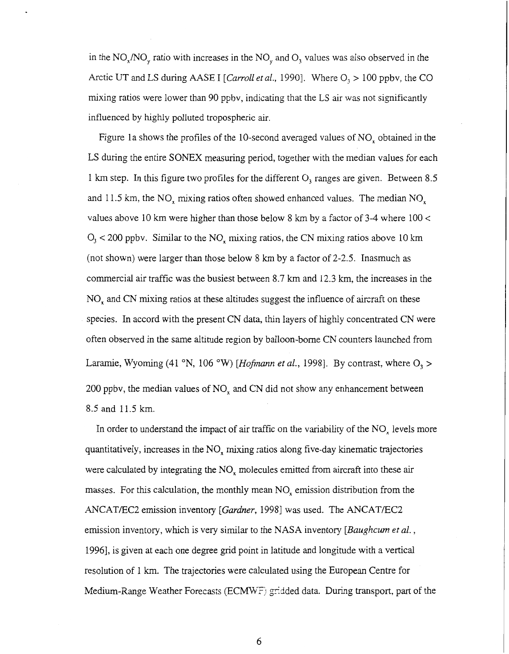in the NO,/NO, ratio with increases in the NO, and *0,* values was also observed in the Arctic UT and LS during AASE I *[Carroll et al.,* 1990]. Where  $O_1 > 100$  ppbv, the CO mixing ratios were lower than 90 ppbv, indicating that the LS air was not significantly influenced by highly polluted tropospheric air.

Figure la shows the profiles of the 10-second averaged values of NO, obtained in the LS during the entire SONEX measuring period, together with the median values for each 1 km step. In this figure two profiles for the different  $O_3$  ranges are given. Between 8.5 and 11.5 km, the  $NO_x$  mixing ratios often showed enhanced values. The median  $NO_x$ values above 10 km were higher than those below 8 km by a factor of 3-4 where 100 < *0,* < 200 ppbv. Similar to the NO, mixing ratios, the CN mixing ratios above 10 km (not shown) were larger than those below 8 km by a factor of 2-2.5. Inasmuch as commercial air traffic was the busiest between 8.7 km and 12.3 km, the increases in the  $NO<sub>x</sub>$  and CN mixing ratios at these altitudes suggest the influence of aircraft on these species. In accord with the present CN data, thin layers of highly concentrated CN were often observed in the same altitude region by balloon-borne CN counters launched from Laramie, Wyoming (41 °N, 106 °W) [Hofmann et al., 1998]. By contrast, where  $O_3$  > 200 ppbv, the median values of  $NO<sub>x</sub>$  and CN did not show any enhancement between 8.5 and 11.5 km.

In order to understand the impact of air traffic on the variability of the  $NO<sub>x</sub>$  levels more quantitatively, increases in the  $NO<sub>x</sub>$  mixing ratios along five-day kinematic trajectories were calculated by integrating the  $NO<sub>x</sub>$  molecules emitted from aircraft into these air masses. For this calculation, the monthly mean  $NO<sub>x</sub>$  emission distribution from the ANCAT/EC2 emission inventory *[Gardner, 1998]* was used. The ANCAT/EC2 emission inventory, which is very similar to the NASA inventory *[Baughcwn et al.* , 19961, is given at each one degree grid point in latitude and longitude with a vertical resolution of 1 km. The trajectories were calculated using the European Centre for Medium-Range Weather Forecasts (ECMWF) gridded data. During transport, part of the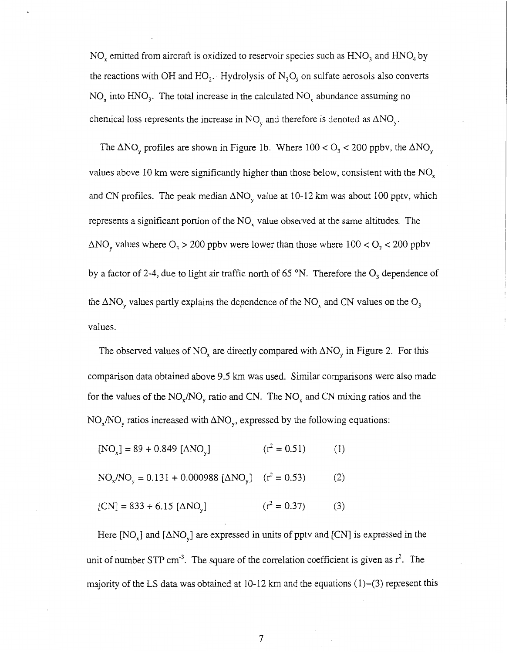NO, emitted from aircraft is oxidized to reservoir species such as  $HNO<sub>3</sub>$  and  $HNO<sub>4</sub>$  by the reactions with OH and HO<sub>2</sub>. Hydrolysis of  $N_2O_5$  on sulfate aerosols also converts  $NO<sub>x</sub>$  into  $HNO<sub>3</sub>$ . The total increase in the calculated  $NO<sub>x</sub>$  abundance assuming no chemical loss represents the increase in  $NO<sub>v</sub>$  and therefore is denoted as  $\Delta NO<sub>v</sub>$ .

The  $\Delta NO_y$  profiles are shown in Figure 1b. Where  $100 < O_3 < 200$  ppbv, the  $\Delta NO_y$ values above 10 km were significantly higher than those below, consistent with the  $NO<sub>x</sub>$ and CN profiles. The peak median  $\Delta NO_y$  value at 10-12 km was about 100 pptv, which represents a significant portion of the NO, value observed at the same altitudes. The  $\Delta NO_{v}$  values where  $O_{v} > 200$  ppbv were lower than those where  $100 < O_{v} < 200$  ppbv by a factor of 2-4, due to light air traffic north of 65 °N. Therefore the O<sub>3</sub> dependence of the  $\Delta NO_y$  values partly explains the dependence of the NO<sub>x</sub> and CN values on the O<sub>3</sub> values.

The observed values of NO<sub>x</sub> are directly compared with  $\Delta NO_y$  in Figure 2. For this comparison data obtained above 9.5 km was used. Similar comparisons were also made for the values of the  $NO_x/NO_y$  ratio and CN. The  $NO_x$  and CN mixing ratios and the  $NO_x/NO_y$  ratios increased with  $\Delta NO_y$ , expressed by the following equations:

 $[NO_x] = 89 + 0.849 [ \Delta NO_x]$  (r<sup>2</sup> = 0.51) (1)

 $NO_x/NO_y = 0.131 + 0.000988 [\Delta NO_y]$  ( $r^2 = 0.53$ ) (2)

 $[CN] = 833 + 6.15 [\Delta NO_{v}]$  (r<sup>2</sup> = 0.37) (3)

Here  $[NO_x]$  and  $[ANO_y]$  are expressed in units of pptv and  $[CN]$  is expressed in the unit of number STP cm<sup>3</sup>. The square of the correlation coefficient is given as  $r^2$ . The majority of the LS data was obtained at  $10-12$  km and the equations  $(1)-(3)$  represent this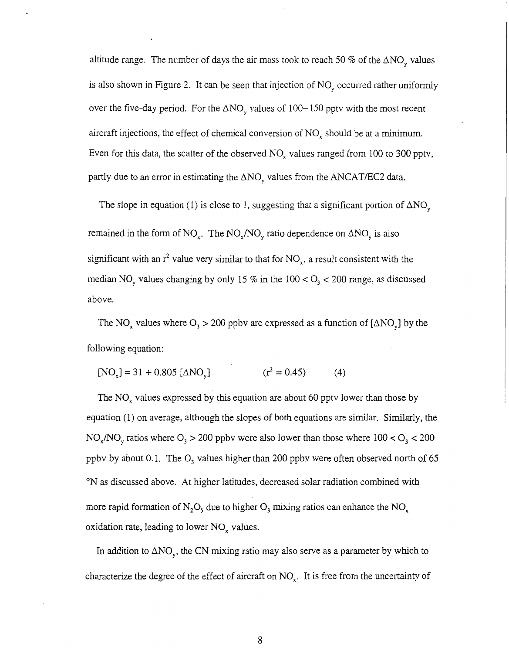altitude range. The number of days the air mass took to reach 50 % of the  $\Delta NO$ , values is also shown in Figure **2.** It can be seen that injection of NO, occurred rather uniformly over the five-day period. For the  $\Delta NO_y$  values of 100-150 pptv with the most recent aircraft injections, the effect of chemical conversion of NO, should be at a minimum. Even for this data, the scatter of the observed NO, values ranged from 100 to 300 pptv, partly due to an error in estimating the  $\Delta NO<sub>v</sub>$  values from the ANCAT/EC2 data.

The slope in equation (1) is close to 1, suggesting that a significant portion of  $\Delta NO_{v}$ remained in the form of NO<sub>x</sub>. The NO<sub>x</sub>/NO<sub>y</sub> ratio dependence on  $\Delta NO_y$  is also significant with an  $r^2$  value very similar to that for NO<sub> $r$ </sub>, a result consistent with the median NO<sub>y</sub> values changing by only 15 % in the  $100 < O<sub>3</sub> < 200$  range, as discussed above.

The NO<sub>x</sub> values where  $O_3 > 200$  ppbv are expressed as a function of [ $\triangle NO_y$ ] by the following equation:

 $[NO_x] = 31 + 0.805 [ \Delta NO_x ]$   $(r^2 = 0.45)$  (4)

The  $NO<sub>x</sub>$  values expressed by this equation are about 60 pptv lower than those by equation (1) on average, although the slopes of both equations are similar. Similarly, the  $NO_x/NO_y$  ratios where  $O_3 > 200$  ppbv were also lower than those where  $100 < O_3 < 200$ ppbv by about 0.1. The  $O_3$  values higher than 200 ppbv were often observed north of 65 <sup>o</sup>N as discussed above. At higher latitudes, decreased solar radiation combined with more rapid formation of  $N_2O_5$  due to higher  $O_3$  mixing ratios can enhance the NO<sub>x</sub> oxidation rate, leading to lower  $NO_x$  values.

In addition to  $\Delta NO_y$ , the CN mixing ratio may also serve as a parameter by which to characterize the degree of the effect of aircraft on  $NO<sub>x</sub>$ . It is free from the uncertainty of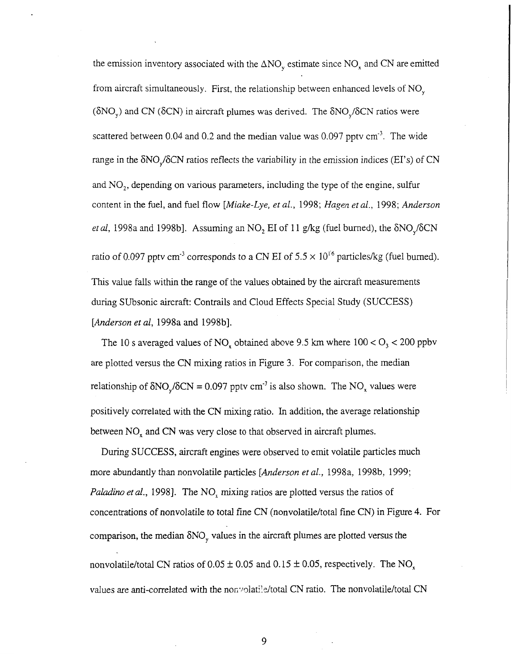the emission inventory associated with the  $\Delta NO_{v}$  estimate since NO<sub>x</sub> and CN are emitted from aircraft simultaneously. First, the relationship between enhanced levels of NO, ( $\delta NO_y$ ) and CN ( $\delta CN$ ) in aircraft plumes was derived. The  $\delta NO_y/\delta CN$  ratios were scattered between 0.04 and 0.2 and the median value was  $0.097$  pptv  $cm<sup>-3</sup>$ . The wide range in the  $\delta NO_y/\delta CN$  ratios reflects the variability in the emission indices (EI's) of CN and NO,, depending on various parameters, including the type of the engine, sulfur content in the fuel, and fuel flow *[Miake-Lye, et al.,* 1998; *Hugen etal.,* 1998; *Anderson et al*, 1998a and 1998b]. Assuming an  $NO<sub>2</sub> EI$  of 11 g/kg (fuel burned), the  $\delta NO<sub>v</sub>/\delta CN$ ratio of 0.097 pptv cm<sup>-3</sup> corresponds to a CN EI of  $5.5 \times 10^{16}$  particles/kg (fuel burned). This value falls within the range of the values obtained by the aircraft measurements during Subsonic aircraft: Contrails and Cloud Effects Special Study (SUCCESS) [Anderson et al, 1998a and 1998b].

The 10 s averaged values of  $NO_x$  obtained above 9.5 km where  $100 < O_3 < 200$  ppbv are plotted versus the CN mixing ratios in Figure 3. For comparison, the median relationship of  $\delta NO_y/\delta CN = 0.097$  pptv cm<sup>-3</sup> is also shown. The NO<sub>x</sub> values were positively correlated with the CN mixing ratio. In addition, the average relationship between  $NO<sub>x</sub>$  and CN was very close to that observed in aircraft plumes.

During SUCCESS, aircraft engines were observed to emit volatile particles much more abundantly than nonvolatile particles *[Anderson et al.,* 1998a, 1998b, 1999; *Paladino et al.*, 1998]. The NO<sub>x</sub> mixing ratios are plotted versus the ratios of concentrations of nonvolatile to total fine CN (nonvolatile/total fine CN) in Figure **4.** For comparison, the median  $\delta NO_y$  values in the aircraft plumes are plotted versus the nonvolatile/total CN ratios of  $0.05 \pm 0.05$  and  $0.15 \pm 0.05$ , respectively. The NO<sub>x</sub> values are anti-correlated with the nonvolatile/total CN ratio. The nonvolatile/total CN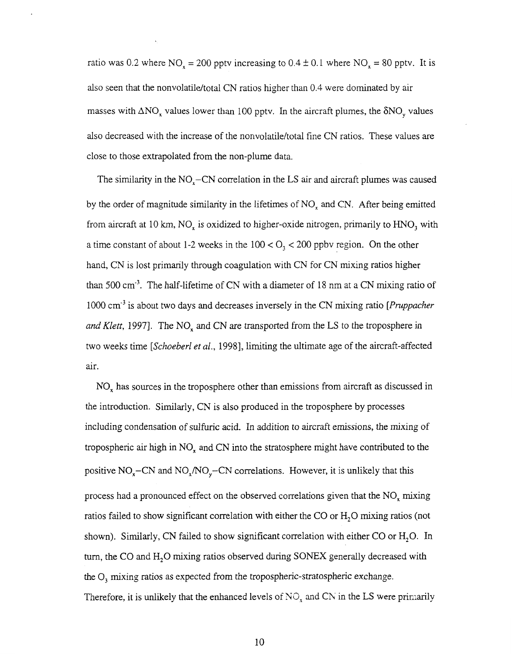ratio was 0.2 where  $NO_x = 200$  pptv increasing to  $0.4 \pm 0.1$  where  $NO_x = 80$  pptv. It is also seen that the nonvolatile/total CN ratios higher than 0.4 were dominated by air masses with  $\Delta NO_x$  values lower than 100 pptv. In the aircraft plumes, the  $\delta NO_y$  values also decreased with the increase of the nonvolatile/total fine CN ratios. These values are close to those extrapolated from the non-plume data.

The similarity in the  $NO<sub>x</sub>-CN$  correlation in the LS air and aircraft plumes was caused by the order of magnitude similarity in the lifetimes of  $NO<sub>x</sub>$  and CN. After being emitted from aircraft at 10 km,  $NO<sub>x</sub>$  is oxidized to higher-oxide nitrogen, primarily to  $HNO<sub>3</sub>$  with a time constant of about 1-2 weeks in the 100 < *0,* < 200 ppbv region. On the other hand, CN is lost primarily through coagulation with CN for CN mixing ratios higher than 500 cm<sup>-3</sup>. The half-lifetime of CN with a diameter of 18 nm at a CN mixing ratio of 1000 cm<sup>-3</sup> is about two days and decreases inversely in the CN mixing ratio *[Pruppacher and Klett*, 1997]. The NO<sub>x</sub> and CN are transported from the LS to the troposphere in two weeks time *[Schoeberl et al.,* 19981, limiting the ultimate age of the aircraft-affected air.

NO, has sources in the troposphere other than emissions from aircraft as discussed in the introduction. Similarly, CN is also produced in the troposphere by processes including condensation of sulfuric acid. In addition to aircraft emissions, the mixing of tropospheric air high in  $NO<sub>x</sub>$  and CN into the stratosphere might have contributed to the positive  $NO_x-CN$  and  $NO_x/NO_y-CN$  correlations. However, it is unlikely that this process had a pronounced effect on the observed correlations given that the  $NO<sub>x</sub>$  mixing ratios failed to show significant correlation with either the CO or  $H_2O$  mixing ratios (not shown). Similarly, CN failed to show significant correlation with either CO or  $H_2O$ . In turn, the CO and H,O mixing ratios observed during SONEX generally decreased with the 0, mixing ratios as expected from the tropospheric-stratospheric exchange. Therefore, it is unlikely that the enhanced levels of  $NO<sub>x</sub>$  and CN in the LS were primarily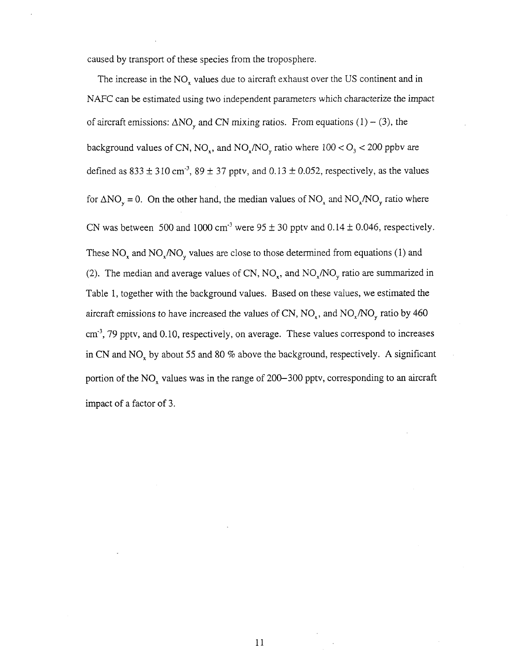caused by transport of these species from the troposphere.

The increase in the NO, values due to aircraft exhaust over the US continent and in NAFC can be estimated using two independent parameters which characterize the impact of aircraft emissions:  $\Delta NO_{v}$  and CN mixing ratios. From equations (1) – (3), the background values of CN,  $NO_x$ , and  $NO_x/NO_y$  ratio where  $100 < O_3 < 200$  ppbv are defined as  $833 \pm 310$  cm<sup>-3</sup>,  $89 \pm 37$  pptv, and  $0.13 \pm 0.052$ , respectively, as the values for  $\Delta NO_y = 0$ . On the other hand, the median values of NO<sub>x</sub> and NO<sub>x</sub>/NO<sub>y</sub> ratio where CN was between 500 and 1000 cm<sup>-3</sup> were  $95 \pm 30$  pptv and  $0.14 \pm 0.046$ , respectively. These  $NO<sub>x</sub>$  and  $NO<sub>x</sub>/NO<sub>y</sub>$  values are close to those determined from equations (1) and (2). The median and average values of CN,  $NO_x$ , and  $NO_x/NO_y$  ratio are summarized in Table 1, together with the background values. Based on these values, we estimated the aircraft emissions to have increased the values of CN,  $NO_x$ , and  $NO_x/NO_y$  ratio by 460 cm<sup>3</sup>, 79 pptv, and 0.10, respectively, on average. These values correspond to increases in CN and NO, by about 55 and 80 9% above the background, respectively. **A** significant portion of the  $NO_x$  values was in the range of 200-300 pptv, corresponding to an aircraft impact of a factor of 3.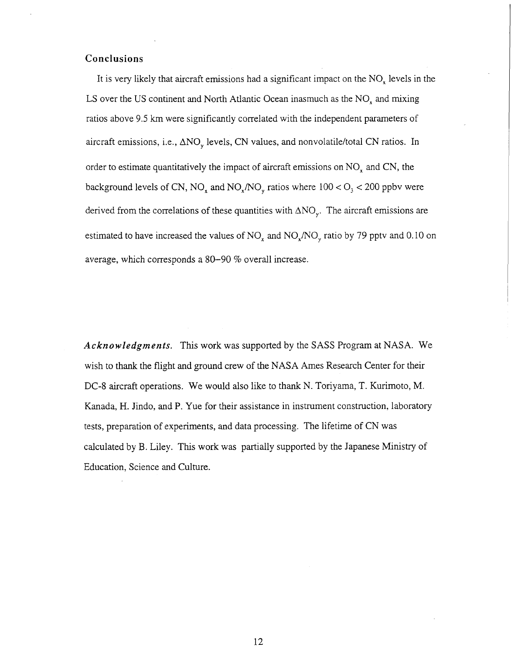# **Conclusions**

It is very likely that aircraft emissions had a significant impact on the NO, levels in the LS over the US continent and North Atlantic Ocean inasmuch as the  $NO<sub>x</sub>$  and mixing ratios above 9.5 km were significantly correlated with the independent parameters of aircraft emissions, i.e.,  $\Delta NO$ , levels, CN values, and nonvolatile/total CN ratios. In order to estimate quantitatively the impact of aircraft emissions on  $NO<sub>x</sub>$  and CN, the background levels of CN,  $NO_x$  and  $NO_x/NO_y$  ratios where  $100 < O_3 < 200$  ppbv were derived from the correlations of these quantities with  $\Delta NO_{v}$ . The aircraft emissions are estimated to have increased the values of  $NO_x$  and  $NO_x/NO_y$  ratio by 79 pptv and 0.10 on average, which corresponds a 80-90 96 overall increase.

*Acknowledgments.* This work was supported by the SASS Program at NASA. We wish to thank the flight and ground crew of the NASA Ames Research Center for their DC-8 aircraft operations. We would also like to thank N. Toriyama, T. Kurimoto, M. Kanada, H. Jindo, and P. Yue for their assistance in instrument construction, laboratory tests, preparation of experiments, and data processing. The lifetime of CN was calculated by B. Liley. This work was partially supported by the Japanese Ministry of Education, Science and Culture.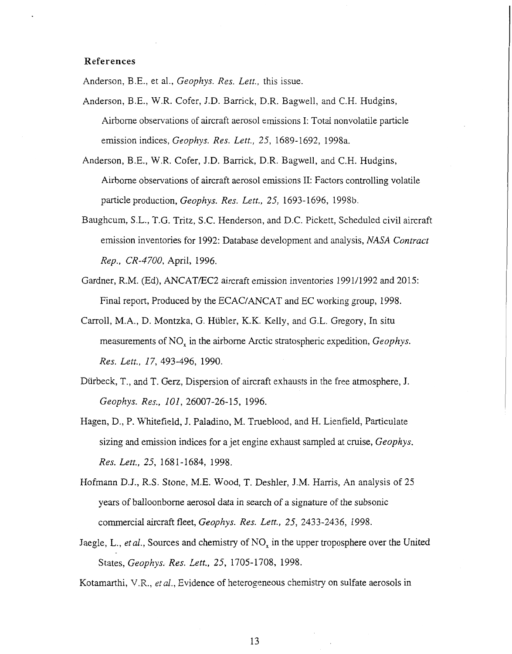# **References**

Anderson, BE., et al., *Geophys. Res. Lett.,* this issue.

- Anderson, B.E., W.R. Cofer, J.D. Barrick, D.R. Bagwell, and C.H. Hudgins, Airborne observations of aircraft aerosol emissions I: Total nonvolatile particle emission indices, *Geophys. Res. Lett., 25,* 1689-1692, 1998a.
- Anderson, BE, W.R. Cofer, J.D. Barrick, D.R. Bagwell, and C.H. Hudgins, Airborne observations of aircraft aerosol emissions 11: Factors controlling volatile particle production, *Geophys. Res. Lett., 25,* 1693-1696, 1998b.
- Baughcum, S.L., T.G. Tritz, S.C. Henderson, and D.C. Pickett, Scheduled civil aircraft emission inventories for 1992: Database development and analysis, *NASA Contract Rep., CR-4700,* April, 1996.
- Gardner, R.M. (Ed), ANCATEC2 aircraft emission inventories 1991/1992 and 2015: Final report, Produced by the ECAC/ANCAT and EC working group, 1998.
- Carroll, M.A., D. Montzka, G. Hubler, K.K. Kelly, and G.L. Gregory, In situ measurements of NO, in the airborne Arctic stratospheric expedition, *Geophys. Res. Lett., 17,* 493-496, 1990.
- Diirbeck, T., and T. Gerz, Dispersion of aircraft exhausts in the free atmosphere, J. *Geophys. Res., 101,* 26007-26-15, 1996.
- Hagen, D., P. Whitefield, J. Paladino, M. Trueblood, and H. Lienfield, Particulate sizing and emission indices for a jet engine exhaust sampled at cruise, *Geophys. Res. Lett., 25,* 1681-1684, 1998.
- Hofmann D.J., R.S. Stone, M.E. Wood, T. Deshler, J.M. Harris, An analysis of 25 years of balloonborne aerosol data in search of a signature of the subsonic commercial aircraft fleet, *Geophys. Res. Lett., 25,* 2433-2436, 1998.
- Jaegle, L., *et al.*, Sources and chemistry of NO<sub>x</sub> in the upper troposphere over the United States, *Geophys.. Res. Lett., 25,* 1705-1708, 1998.

Kotamarthi, V.R., *etal.,* Evidence of heterogeneous chemistry on sulfate aerosols in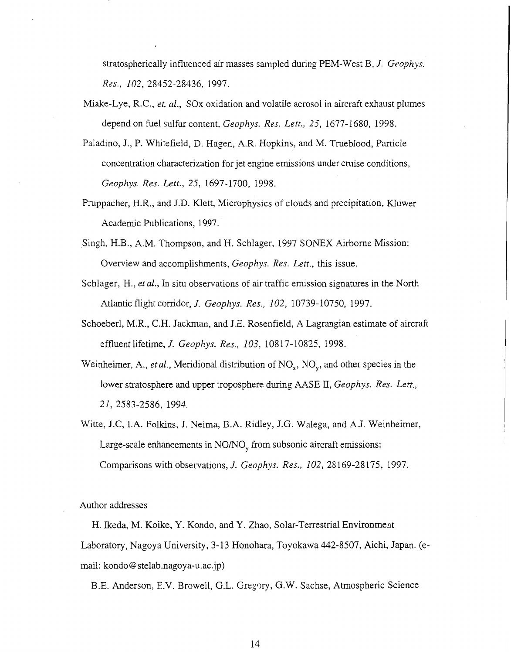stratospherically influenced air masses sampled during PEM-West B, *J. Geophys. Res., 102,* 28452-28436, 1997.

- Miake-Lye, R.C., *et. al.*, SOx oxidation and volatile aerosol in aircraft exhaust plumes depend on fuel sulfur content, *Geophys. Res. Lett., 25,* 1677-1680, 1998.
- Paladino, J., P. Whitefield, D. Hagen, A.R. Hopkins, and M. Trueblood, Particle concentration characterization for jet engine emissions under cruise conditions, *Geophys. Res. Lett., 25,* 1697-1700, 1998.
- Pruppacher, H.R., and J.D. Klett, Microphysics of clouds and precipitation, KIuwer Academic Publications, 1997.
- Singh, H.B., A.M. Thompson, and H. Schlager, 1997 SONEX Airborne Mission: Overview and accomplishments, *Geophys. Res. Lett.,* this issue.
- Schlager, H., *et al.*, In situ observations of air traffic emission signatures in the North Atlantic flight corridor, *J. Geophys. Res., 102,* 10739-10750, 1997.
- Schoeberl, M.R., C.H. Jackman, and J.E. Rosenfield, A Lagrangian estimate of aircraft effluent lifetime, *J. Geophys. Res., 103,* 10817-10825, 1998.
- Weinheimer, A., *et al.*, Meridional distribution of  $NO_x$ ,  $NO_y$ , and other species in the lower stratosphere and upper troposphere during AASE II, *Geophys. Res. Lett., 21,* 2583-2586, 1994.
- Witte, J.C, **I.A.** Folkins, J. Neima, B.A. Ridley, J.G. Walega, and A.J. Weinheimer, Large-scale enhancements in  $NO/NO<sub>v</sub>$  from subsonic aircraft emissions: Comparisons with observations, *J. Geophys. Res., 102,* 28169-28175, 1997.

Author addresses

H. Ikeda, M. Koike, Y. Kondo, and Y. Zhao, Solar-Terrestrial Environment Laboratory, Nagoya University, 3-13 Honohara, Toyokawa 442-8507, Aichi, Japan. (email: kondo@stelab.nagoya-u.ac.jp)

B.E. Anderson, E.V. Browell, G.L. Gregory, G.W. Sachse, Atmospheric Science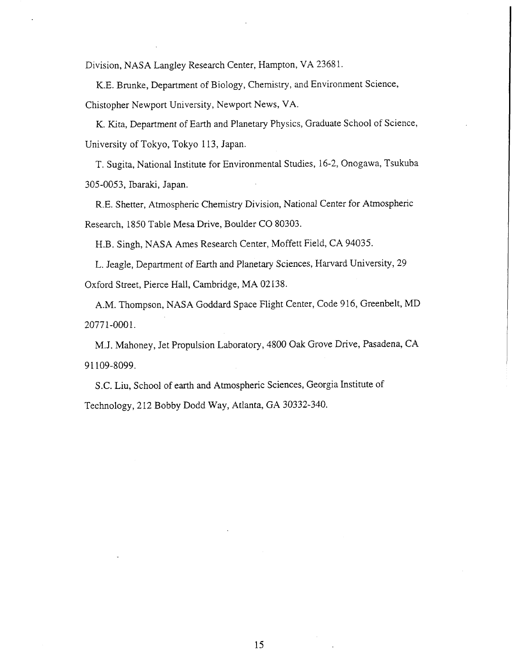Division, NASA Langley Research Center, Hampton, **VA** 2368 1.

K.E. Brunke, Department of Biology, Chemistry, and Environment Science, Chistopher Newport University, Newport News, VA.

K. Kita, Department of Earth and Planetary Physics, Graduate School of Science, University of Tokyo, Tokyo 113, Japan.

T. Sugita, National Institute for Environmental Studies, 16-2, Onogawa, Tsukuba 305-0053, Ibaraki, Japan.

R.E. Shetter, Atmospheric Chemistry Division, National Center for Atmospheric Research, 1850 Table Mesa Drive, Boulder CO 80303.

H.B. Singh, NASA Ames Research Center, Moffett Field, CA 94035.

L. Jeagle, Department of Earth and Planetary Sciences, Harvard University, 29 Oxford Street, Pierce Hall, Cambridge, MA 02138.

A.M. Thompson, NASA Goddard Space Flight Center, Code 9 16, Greenbelt, MD 2077 1-000 1.

M.J. Mahoney, Jet Propulsion Laboratory, 4800 *Oak* Grove Drive, Pasadena, CA 91 109-8099.

S.C. Liu, School of earth and Atmospheric Sciences, Georgia Institute of Technology, 212 Bobby Dodd Way, Atlanta, GA 30332-340.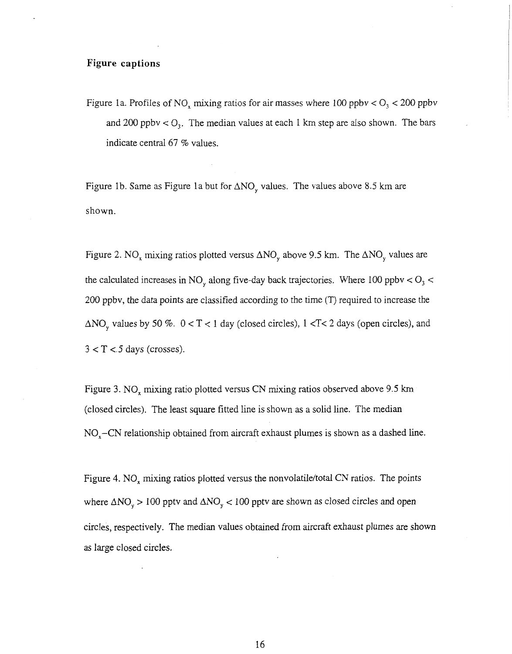## **Figure captions**

Figure 1a. Profiles of NO<sub>x</sub> mixing ratios for air masses where 100 ppbv  $<$  O<sub>3</sub>  $<$  200 ppbv and 200 ppbv  $\langle O_3$ . The median values at each 1 km step are also shown. The bars indicate central 67 % values.

Figure 1b. Same as Figure 1a but for  $\Delta NO_y$  values. The values above 8.5 km are shown.

Figure 2. NO<sub>x</sub> mixing ratios plotted versus  $\Delta NO_y$  above 9.5 km. The  $\Delta NO_y$  values are the calculated increases in NO, along five-day back trajectories. Where 100 ppbv < *0,* <sup>&</sup>lt; 200 ppbv, the data points are classified according to the time (T) required to increase the  $\Delta NO$ <sub>y</sub> values by 50 %.  $0 < T < 1$  day (closed circles),  $1 < T < 2$  days (open circles), and  $3 < T < 5$  days (crosses).

Figure 3. NO, mixing ratio plotted versus CN mixing ratios observed above 9.5 km (closed circles). The least square fitted line is shown as a solid line. The median  $NO<sub>x</sub>-CN$  relationship obtained from aircraft exhaust plumes is shown as a dashed line.

Figure 4. NO<sub>x</sub> mixing ratios plotted versus the nonvolatile/total CN ratios. The points where  $\Delta NO_y > 100$  pptv and  $\Delta NO_y < 100$  pptv are shown as closed circles and open circles, respectively. The median values obtained from aircraft exhaust plumes are shown as large closed circles.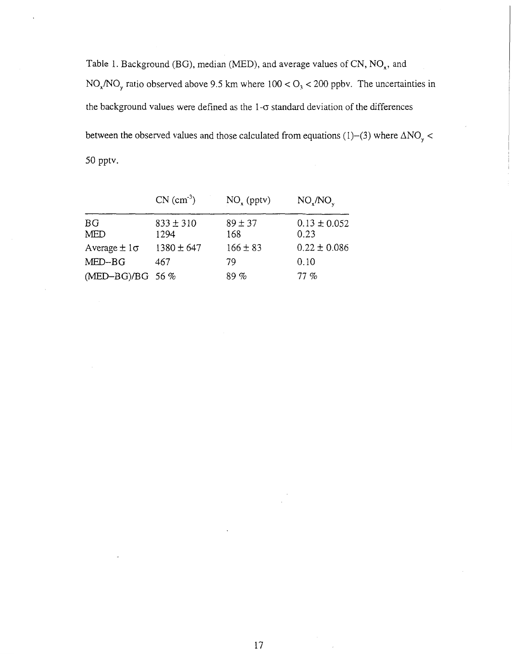Table 1. Background (BG), median (MED), and average values of CN,  $NO<sub>x</sub>$ , and NO,/NO, ratio observed above 9.5 km where 100 *e* 0, < 200 ppbv. The uncertainties in the background values were defined as the  $1-\sigma$  standard deviation of the differences between the observed values and those calculated from equations (1)–(3) where  $\Delta NO_y$  < 50 pptv.

|                         | $CN (cm-3)$           | $NO_x$ (pptv)      | $NO_{x}/NO_{y}$          |
|-------------------------|-----------------------|--------------------|--------------------------|
| <b>BG</b><br><b>MED</b> | $833 \pm 310$<br>1294 | $89 \pm 37$<br>168 | $0.13 \pm 0.052$<br>0.23 |
| Average $\pm 1\sigma$   | $1380 \pm 647$        | $166 \pm 83$       | $0.22 \pm 0.086$         |
| $MED-BG$                | 467                   | 79                 | 0.10                     |
| (MED-BG)/BG 56 %        |                       | 89%                | 77%                      |

 $\cdot$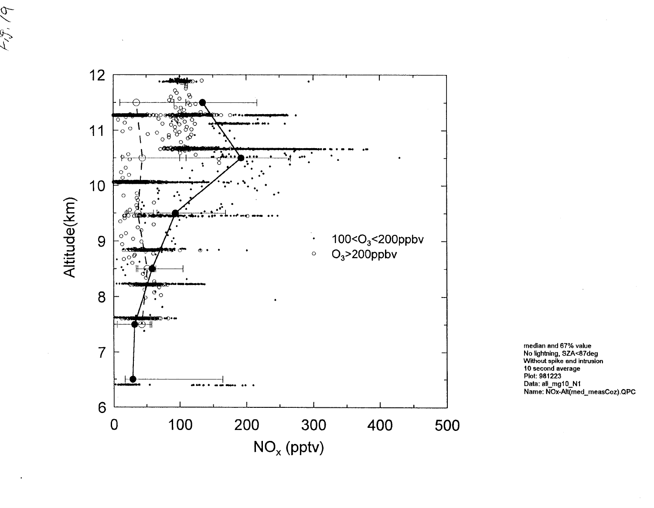

 $\sigma$ 

ر<br>مراجع

median and 67% value<br>No lightning, SZA<87deg<br>Without spike and intrusion<br>10 second average<br>Plot: 981223 Data: all\_mg10\_N1<br>Data: all\_mg10\_N1<br>Name: NOx-Alt(med\_measCoz).QPC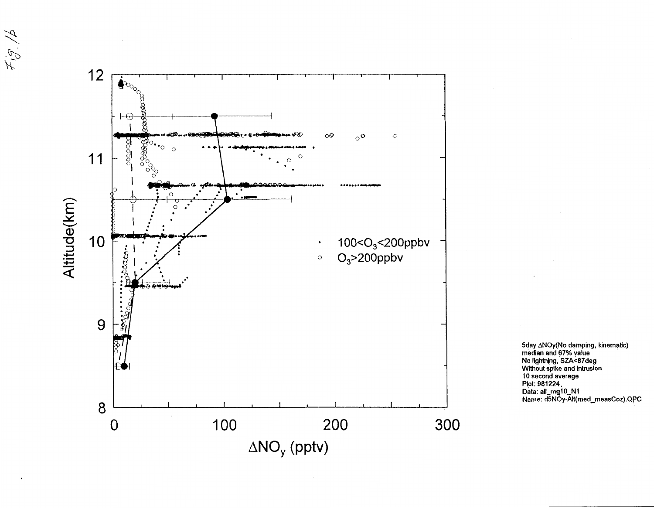

 $\mathcal{F}_{\mathfrak{t}}^{\mathfrak{t},\mathfrak{F}}/\mathfrak{p}$ 

5day ∆NOy(No damping, kinematic)<br>median and 67% value No lightning, SZA<87deg<br>Without spike and intrusion<br>10 second average Plot: 981224, Data: all\_mg10\_N1<br>Name: d5NOy-Alt(med\_measCoz).QPC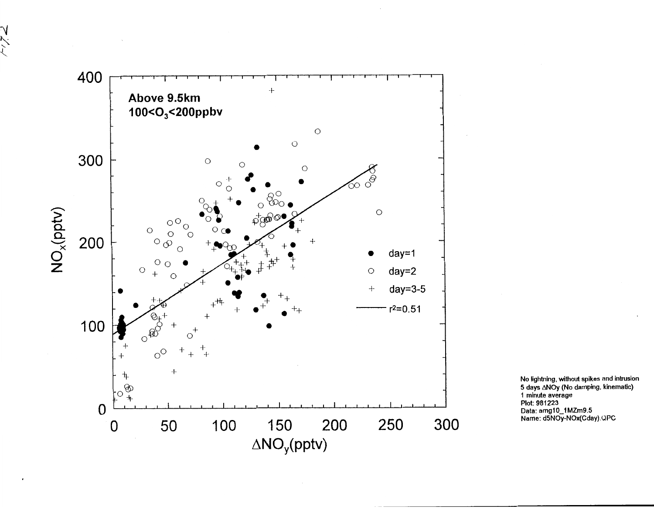

スパイ

No lightning, without spikes and intrusion 5 days  $\triangle$ NOy (No damping, kinematic) 1 minute average<br>Plot: 981223 Data: amg10\_1MZm9.5<br>Name: d5NOy-NOx(Cday).QPC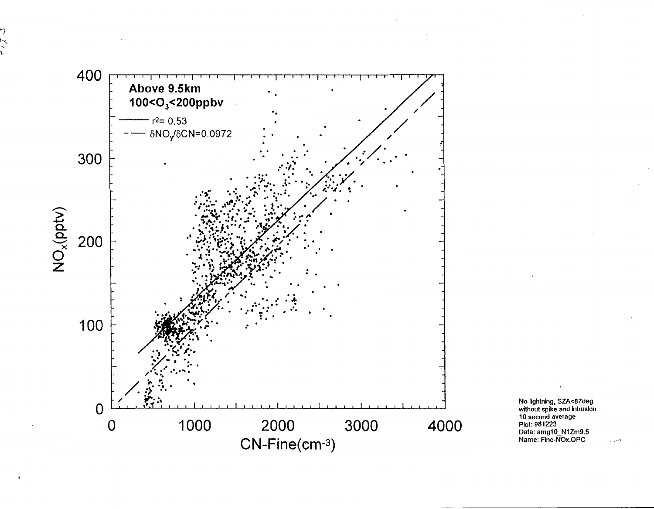

No lightning, SZA<87deg<br>without spike and intrusion<br>10 second average<br>Plot: 981223 Data: amg10\_N1Zm9.5<br>Name: Fine-NOx.QPC